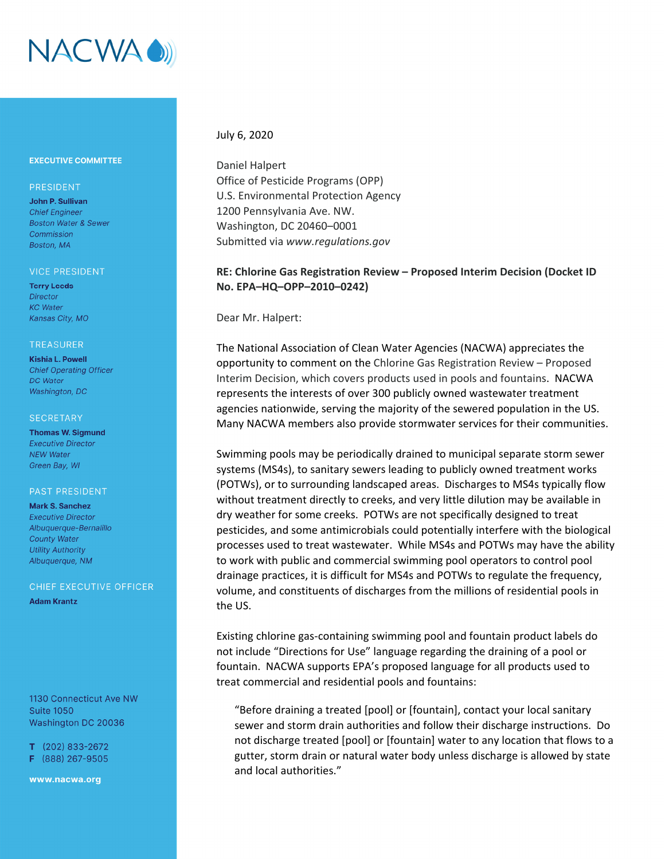

## **EXECUTIVE COMMITTEE**

## PRESIDENT

John P. Sullivan **Chief Engineer Boston Water & Sewer** Commission Boston, MA

#### **VICE PRESIDENT**

**Terry Leeds Director KC** Water Kansas City, MO

#### **TREASURER**

**Kishia L. Powell Chief Operating Officer DC** Water Washington, DC

#### **SECRETARY**

**Thomas W. Sigmund Executive Director NEW Water** Green Bay, WI

### **PAST PRESIDENT**

**Mark S. Sanchez Executive Director** Albuquerque-Bernalillo **County Water Utility Authority** Albuquerque, NM

# CHIEF EXECUTIVE OFFICER

**Adam Krantz** 

1130 Connecticut Ave NW **Suite 1050** Washington DC 20036

 $T$  (202) 833-2672 F (888) 267-9505

www.nacwa.org

# July 6, 2020

Daniel Halpert Office of Pesticide Programs (OPP) U.S. Environmental Protection Agency 1200 Pennsylvania Ave. NW. Washington, DC 20460–0001 Submitted via *www.regulations.gov*

# **RE: Chlorine Gas Registration Review – Proposed Interim Decision (Docket ID No. EPA–HQ–OPP–2010–0242)**

Dear Mr. Halpert:

The National Association of Clean Water Agencies (NACWA) appreciates the opportunity to comment on the Chlorine Gas Registration Review – Proposed Interim Decision, which covers products used in pools and fountains. NACWA represents the interests of over 300 publicly owned wastewater treatment agencies nationwide, serving the majority of the sewered population in the US. Many NACWA members also provide stormwater services for their communities.

Swimming pools may be periodically drained to municipal separate storm sewer systems (MS4s), to sanitary sewers leading to publicly owned treatment works (POTWs), or to surrounding landscaped areas. Discharges to MS4s typically flow without treatment directly to creeks, and very little dilution may be available in dry weather for some creeks. POTWs are not specifically designed to treat pesticides, and some antimicrobials could potentially interfere with the biological processes used to treat wastewater. While MS4s and POTWs may have the ability to work with public and commercial swimming pool operators to control pool drainage practices, it is difficult for MS4s and POTWs to regulate the frequency, volume, and constituents of discharges from the millions of residential pools in the US.

Existing chlorine gas‐containing swimming pool and fountain product labels do not include "Directions for Use" language regarding the draining of a pool or fountain. NACWA supports EPA's proposed language for all products used to treat commercial and residential pools and fountains:

"Before draining a treated [pool] or [fountain], contact your local sanitary sewer and storm drain authorities and follow their discharge instructions. Do not discharge treated [pool] or [fountain] water to any location that flows to a gutter, storm drain or natural water body unless discharge is allowed by state and local authorities."